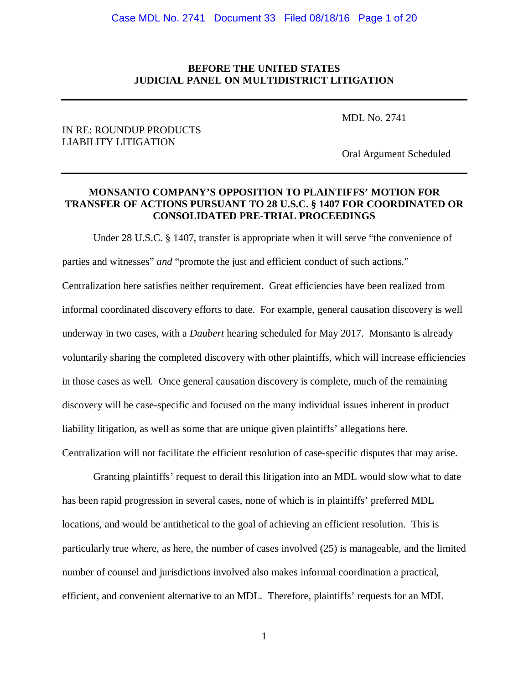### **BEFORE THE UNITED STATES JUDICIAL PANEL ON MULTIDISTRICT LITIGATION**

MDL No. 2741

### IN RE: ROUNDUP PRODUCTS LIABILITY LITIGATION

Oral Argument Scheduled

## **MONSANTO COMPANY'S OPPOSITION TO PLAINTIFFS' MOTION FOR TRANSFER OF ACTIONS PURSUANT TO 28 U.S.C. § 1407 FOR COORDINATED OR CONSOLIDATED PRE-TRIAL PROCEEDINGS**

Under 28 U.S.C. § 1407, transfer is appropriate when it will serve "the convenience of parties and witnesses" *and* "promote the just and efficient conduct of such actions." Centralization here satisfies neither requirement. Great efficiencies have been realized from informal coordinated discovery efforts to date. For example, general causation discovery is well underway in two cases, with a *Daubert* hearing scheduled for May 2017. Monsanto is already voluntarily sharing the completed discovery with other plaintiffs, which will increase efficiencies in those cases as well. Once general causation discovery is complete, much of the remaining discovery will be case-specific and focused on the many individual issues inherent in product liability litigation, as well as some that are unique given plaintiffs' allegations here. Centralization will not facilitate the efficient resolution of case-specific disputes that may arise.

Granting plaintiffs' request to derail this litigation into an MDL would slow what to date has been rapid progression in several cases, none of which is in plaintiffs' preferred MDL locations, and would be antithetical to the goal of achieving an efficient resolution. This is particularly true where, as here, the number of cases involved (25) is manageable, and the limited number of counsel and jurisdictions involved also makes informal coordination a practical, efficient, and convenient alternative to an MDL. Therefore, plaintiffs' requests for an MDL

1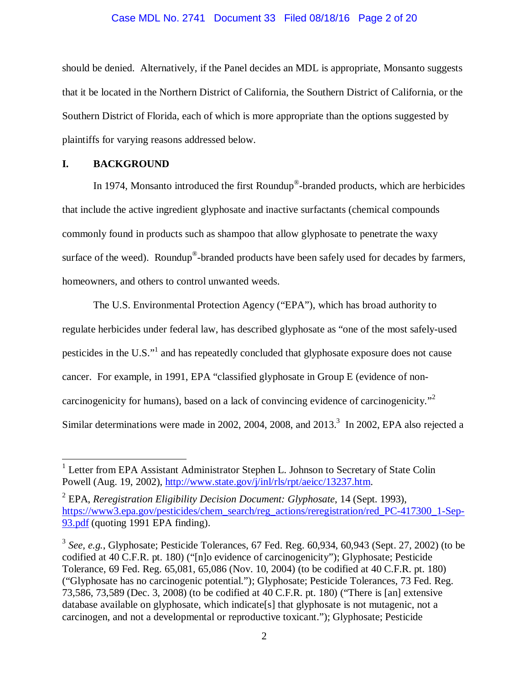#### Case MDL No. 2741 Document 33 Filed 08/18/16 Page 2 of 20

should be denied. Alternatively, if the Panel decides an MDL is appropriate, Monsanto suggests that it be located in the Northern District of California, the Southern District of California, or the Southern District of Florida, each of which is more appropriate than the options suggested by plaintiffs for varying reasons addressed below.

# **I. BACKGROUND**

 $\overline{a}$ 

In 1974, Monsanto introduced the first Roundup®-branded products, which are herbicides that include the active ingredient glyphosate and inactive surfactants (chemical compounds commonly found in products such as shampoo that allow glyphosate to penetrate the waxy surface of the weed). Roundup<sup>®</sup>-branded products have been safely used for decades by farmers, homeowners, and others to control unwanted weeds.

The U.S. Environmental Protection Agency ("EPA"), which has broad authority to regulate herbicides under federal law, has described glyphosate as "one of the most safely-used pesticides in the U.S."<sup>1</sup> and has repeatedly concluded that glyphosate exposure does not cause cancer. For example, in 1991, EPA "classified glyphosate in Group E (evidence of noncarcinogenicity for humans), based on a lack of convincing evidence of carcinogenicity. $"^2$ Similar determinations were made in 2002, 2004, 2008, and  $2013<sup>3</sup>$  In 2002, EPA also rejected a

<sup>&</sup>lt;sup>1</sup> Letter from EPA Assistant Administrator Stephen L. Johnson to Secretary of State Colin Powell (Aug. 19, 2002), http://www.state.gov/j/inl/rls/rpt/aeicc/13237.htm.

<sup>2</sup> EPA, *Reregistration Eligibility Decision Document: Glyphosate*, 14 (Sept. 1993), https://www3.epa.gov/pesticides/chem\_search/reg\_actions/reregistration/red\_PC-417300\_1-Sep-93.pdf (quoting 1991 EPA finding).

<sup>3</sup> *See, e.g.*, Glyphosate; Pesticide Tolerances, 67 Fed. Reg. 60,934, 60,943 (Sept. 27, 2002) (to be codified at 40 C.F.R. pt. 180) ("[n]o evidence of carcinogenicity"); Glyphosate; Pesticide Tolerance, 69 Fed. Reg. 65,081, 65,086 (Nov. 10, 2004) (to be codified at 40 C.F.R. pt. 180) ("Glyphosate has no carcinogenic potential."); Glyphosate; Pesticide Tolerances, 73 Fed. Reg. 73,586, 73,589 (Dec. 3, 2008) (to be codified at 40 C.F.R. pt. 180) ("There is [an] extensive database available on glyphosate, which indicate[s] that glyphosate is not mutagenic, not a carcinogen, and not a developmental or reproductive toxicant."); Glyphosate; Pesticide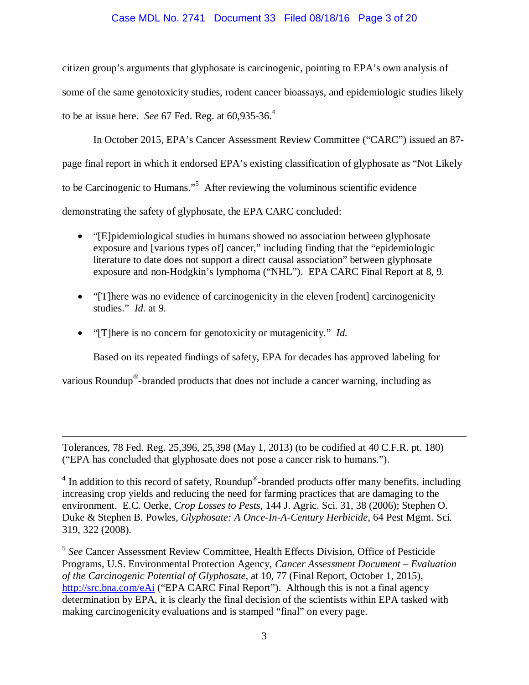### Case MDL No. 2741 Document 33 Filed 08/18/16 Page 3 of 20

citizen group's arguments that glyphosate is carcinogenic, pointing to EPA's own analysis of some of the same genotoxicity studies, rodent cancer bioassays, and epidemiologic studies likely to be at issue here. *See* 67 Fed. Reg. at 60,935-36.4

In October 2015, EPA's Cancer Assessment Review Committee ("CARC") issued an 87 page final report in which it endorsed EPA's existing classification of glyphosate as "Not Likely to be Carcinogenic to Humans."<sup>5</sup> After reviewing the voluminous scientific evidence demonstrating the safety of glyphosate, the EPA CARC concluded:

- "[E]pidemiological studies in humans showed no association between glyphosate exposure and [various types of] cancer," including finding that the "epidemiologic literature to date does not support a direct causal association" between glyphosate exposure and non-Hodgkin's lymphoma ("NHL"). EPA CARC Final Report at 8, 9.
- "[T]here was no evidence of carcinogenicity in the eleven [rodent] carcinogenicity studies." *Id.* at 9.
- "[T]here is no concern for genotoxicity or mutagenicity." *Id.*

 $\overline{a}$ 

Based on its repeated findings of safety, EPA for decades has approved labeling for

various Roundup<sup>®</sup>-branded products that does not include a cancer warning, including as

Tolerances, 78 Fed. Reg. 25,396, 25,398 (May 1, 2013) (to be codified at 40 C.F.R. pt. 180) ("EPA has concluded that glyphosate does not pose a cancer risk to humans.").

 $4$  In addition to this record of safety, Roundup®-branded products offer many benefits, including increasing crop yields and reducing the need for farming practices that are damaging to the environment. E.C. Oerke, *Crop Losses to Pests*, 144 J. Agric. Sci. 31, 38 (2006); Stephen O. Duke & Stephen B. Powles, *Glyphosate: A Once-In-A-Century Herbicide*, 64 Pest Mgmt. Sci. 319, 322 (2008).

<sup>5</sup> *See* Cancer Assessment Review Committee, Health Effects Division, Office of Pesticide Programs, U.S. Environmental Protection Agency, *Cancer Assessment Document – Evaluation of the Carcinogenic Potential of Glyphosate*, at 10, 77 (Final Report, October 1, 2015), http://src.bna.com/eAi ("EPA CARC Final Report"). Although this is not a final agency determination by EPA, it is clearly the final decision of the scientists within EPA tasked with making carcinogenicity evaluations and is stamped "final" on every page.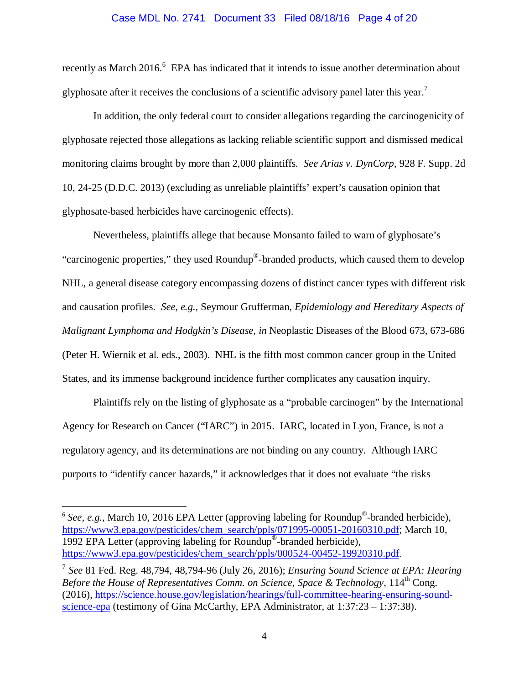#### Case MDL No. 2741 Document 33 Filed 08/18/16 Page 4 of 20

recently as March 2016.<sup>6</sup> EPA has indicated that it intends to issue another determination about glyphosate after it receives the conclusions of a scientific advisory panel later this year.<sup>7</sup>

In addition, the only federal court to consider allegations regarding the carcinogenicity of glyphosate rejected those allegations as lacking reliable scientific support and dismissed medical monitoring claims brought by more than 2,000 plaintiffs. *See Arias v. DynCorp*, 928 F. Supp. 2d 10, 24-25 (D.D.C. 2013) (excluding as unreliable plaintiffs' expert's causation opinion that glyphosate-based herbicides have carcinogenic effects).

Nevertheless, plaintiffs allege that because Monsanto failed to warn of glyphosate's "carcinogenic properties," they used Roundup®-branded products, which caused them to develop NHL, a general disease category encompassing dozens of distinct cancer types with different risk and causation profiles. *See, e.g.*, Seymour Grufferman, *Epidemiology and Hereditary Aspects of Malignant Lymphoma and Hodgkin's Disease*, *in* Neoplastic Diseases of the Blood 673, 673-686 (Peter H. Wiernik et al. eds., 2003). NHL is the fifth most common cancer group in the United States, and its immense background incidence further complicates any causation inquiry.

Plaintiffs rely on the listing of glyphosate as a "probable carcinogen" by the International Agency for Research on Cancer ("IARC") in 2015. IARC, located in Lyon, France, is not a regulatory agency, and its determinations are not binding on any country. Although IARC purports to "identify cancer hazards," it acknowledges that it does not evaluate "the risks

<u>.</u>

 $6$  *See, e.g.*, March 10, 2016 EPA Letter (approving labeling for Roundup<sup>®</sup>-branded herbicide), https://www3.epa.gov/pesticides/chem\_search/ppls/071995-00051-20160310.pdf; March 10, 1992 EPA Letter (approving labeling for Roundup®-branded herbicide), https://www3.epa.gov/pesticides/chem\_search/ppls/000524-00452-19920310.pdf.

<sup>7</sup> *See* 81 Fed. Reg. 48,794, 48,794-96 (July 26, 2016); *Ensuring Sound Science at EPA: Hearing Before the House of Representatives Comm. on Science, Space & Technology, 114th* Cong. (2016), https://science.house.gov/legislation/hearings/full-committee-hearing-ensuring-soundscience-epa (testimony of Gina McCarthy, EPA Administrator, at 1:37:23 – 1:37:38).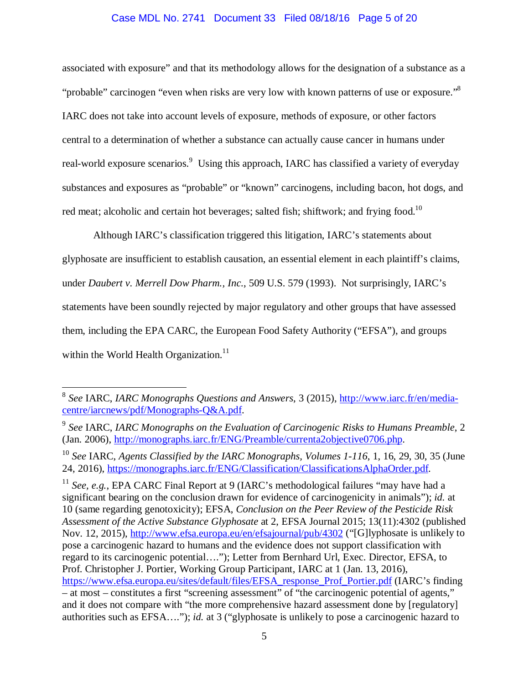### Case MDL No. 2741 Document 33 Filed 08/18/16 Page 5 of 20

associated with exposure" and that its methodology allows for the designation of a substance as a "probable" carcinogen "even when risks are very low with known patterns of use or exposure."<sup>8</sup> IARC does not take into account levels of exposure, methods of exposure, or other factors central to a determination of whether a substance can actually cause cancer in humans under real-world exposure scenarios.<sup>9</sup> Using this approach, IARC has classified a variety of everyday substances and exposures as "probable" or "known" carcinogens, including bacon, hot dogs, and red meat; alcoholic and certain hot beverages; salted fish; shiftwork; and frying food.<sup>10</sup>

Although IARC's classification triggered this litigation, IARC's statements about glyphosate are insufficient to establish causation, an essential element in each plaintiff's claims, under *Daubert v. Merrell Dow Pharm., Inc.*, 509 U.S. 579 (1993). Not surprisingly, IARC's statements have been soundly rejected by major regulatory and other groups that have assessed them, including the EPA CARC, the European Food Safety Authority ("EFSA"), and groups within the World Health Organization.<sup>11</sup>

<u>.</u>

<sup>11</sup> *See, e.g.*, EPA CARC Final Report at 9 (IARC's methodological failures "may have had a significant bearing on the conclusion drawn for evidence of carcinogenicity in animals"); *id.* at 10 (same regarding genotoxicity); EFSA, *Conclusion on the Peer Review of the Pesticide Risk Assessment of the Active Substance Glyphosate* at 2, EFSA Journal 2015; 13(11):4302 (published Nov. 12, 2015), http://www.efsa.europa.eu/en/efsajournal/pub/4302 ("[G]lyphosate is unlikely to pose a carcinogenic hazard to humans and the evidence does not support classification with regard to its carcinogenic potential…."); Letter from Bernhard Url, Exec. Director, EFSA, to Prof. Christopher J. Portier, Working Group Participant, IARC at 1 (Jan. 13, 2016), https://www.efsa.europa.eu/sites/default/files/EFSA\_response\_Prof\_Portier.pdf (IARC's finding – at most – constitutes a first "screening assessment" of "the carcinogenic potential of agents," and it does not compare with "the more comprehensive hazard assessment done by [regulatory] authorities such as EFSA…."); *id.* at 3 ("glyphosate is unlikely to pose a carcinogenic hazard to

<sup>8</sup> *See* IARC, *IARC Monographs Questions and Answers*, 3 (2015), http://www.iarc.fr/en/mediacentre/iarcnews/pdf/Monographs-Q&A.pdf.

<sup>9</sup> *See* IARC, *IARC Monographs on the Evaluation of Carcinogenic Risks to Humans Preamble*, 2 (Jan. 2006), http://monographs.iarc.fr/ENG/Preamble/currenta2objective0706.php.

<sup>10</sup> *See* IARC, *Agents Classified by the IARC Monographs, Volumes 1-116*, 1, 16, 29, 30, 35 (June 24, 2016), https://monographs.iarc.fr/ENG/Classification/ClassificationsAlphaOrder.pdf.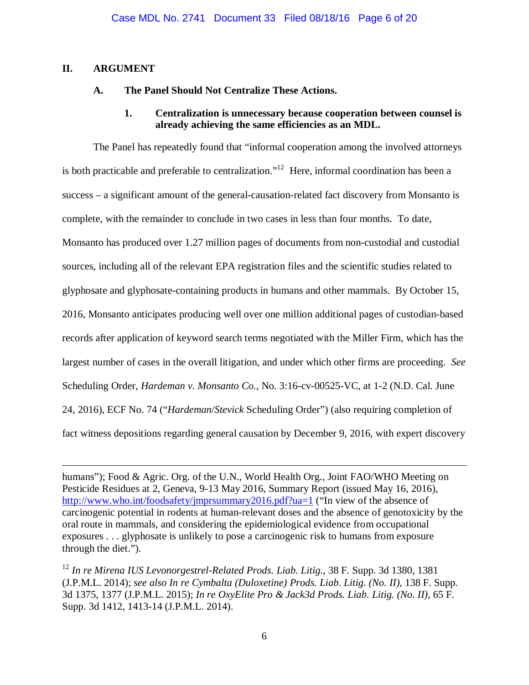# **II. ARGUMENT**

1

## **A. The Panel Should Not Centralize These Actions.**

### **1. Centralization is unnecessary because cooperation between counsel is already achieving the same efficiencies as an MDL.**

The Panel has repeatedly found that "informal cooperation among the involved attorneys is both practicable and preferable to centralization."<sup>12</sup> Here, informal coordination has been a success – a significant amount of the general-causation-related fact discovery from Monsanto is complete, with the remainder to conclude in two cases in less than four months. To date, Monsanto has produced over 1.27 million pages of documents from non-custodial and custodial sources, including all of the relevant EPA registration files and the scientific studies related to glyphosate and glyphosate-containing products in humans and other mammals. By October 15, 2016, Monsanto anticipates producing well over one million additional pages of custodian-based records after application of keyword search terms negotiated with the Miller Firm, which has the largest number of cases in the overall litigation, and under which other firms are proceeding. *See* Scheduling Order, *Hardeman v. Monsanto Co.*, No. 3:16-cv-00525-VC, at 1-2 (N.D. Cal. June 24, 2016), ECF No. 74 ("*Hardeman*/*Stevick* Scheduling Order") (also requiring completion of fact witness depositions regarding general causation by December 9, 2016, with expert discovery

humans"); Food & Agric. Org. of the U.N., World Health Org., Joint FAO/WHO Meeting on Pesticide Residues at 2, Geneva, 9-13 May 2016, Summary Report (issued May 16, 2016), http://www.who.int/foodsafety/jmprsummary2016.pdf?ua=1 ("In view of the absence of carcinogenic potential in rodents at human-relevant doses and the absence of genotoxicity by the oral route in mammals, and considering the epidemiological evidence from occupational exposures . . . glyphosate is unlikely to pose a carcinogenic risk to humans from exposure through the diet.").

<sup>12</sup> *In re Mirena IUS Levonorgestrel-Related Prods. Liab. Litig.*, 38 F. Supp. 3d 1380, 1381 (J.P.M.L. 2014); *see also In re Cymbalta (Duloxetine) Prods. Liab. Litig. (No. II)*, 138 F. Supp. 3d 1375, 1377 (J.P.M.L. 2015); *In re OxyElite Pro & Jack3d Prods. Liab. Litig. (No. II)*, 65 F. Supp. 3d 1412, 1413-14 (J.P.M.L. 2014).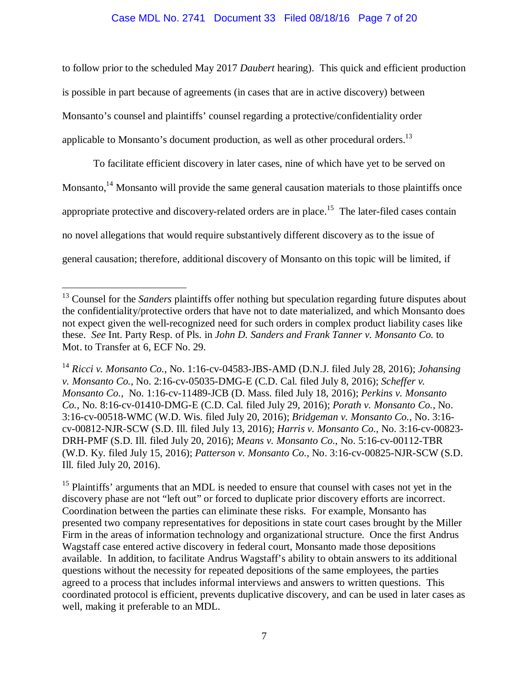### Case MDL No. 2741 Document 33 Filed 08/18/16 Page 7 of 20

to follow prior to the scheduled May 2017 *Daubert* hearing). This quick and efficient production is possible in part because of agreements (in cases that are in active discovery) between Monsanto's counsel and plaintiffs' counsel regarding a protective/confidentiality order applicable to Monsanto's document production, as well as other procedural orders.<sup>13</sup>

To facilitate efficient discovery in later cases, nine of which have yet to be served on Monsanto,<sup>14</sup> Monsanto will provide the same general causation materials to those plaintiffs once appropriate protective and discovery-related orders are in place.<sup>15</sup> The later-filed cases contain no novel allegations that would require substantively different discovery as to the issue of general causation; therefore, additional discovery of Monsanto on this topic will be limited, if

 $\overline{a}$ 

<sup>15</sup> Plaintiffs' arguments that an MDL is needed to ensure that counsel with cases not yet in the discovery phase are not "left out" or forced to duplicate prior discovery efforts are incorrect. Coordination between the parties can eliminate these risks. For example, Monsanto has presented two company representatives for depositions in state court cases brought by the Miller Firm in the areas of information technology and organizational structure. Once the first Andrus Wagstaff case entered active discovery in federal court, Monsanto made those depositions available. In addition, to facilitate Andrus Wagstaff's ability to obtain answers to its additional questions without the necessity for repeated depositions of the same employees, the parties agreed to a process that includes informal interviews and answers to written questions. This coordinated protocol is efficient, prevents duplicative discovery, and can be used in later cases as well, making it preferable to an MDL.

<sup>&</sup>lt;sup>13</sup> Counsel for the *Sanders* plaintiffs offer nothing but speculation regarding future disputes about the confidentiality/protective orders that have not to date materialized, and which Monsanto does not expect given the well-recognized need for such orders in complex product liability cases like these. *See* Int. Party Resp. of Pls. in *John D. Sanders and Frank Tanner v. Monsanto Co.* to Mot. to Transfer at 6, ECF No. 29.

<sup>14</sup> *Ricci v. Monsanto Co.*, No. 1:16-cv-04583-JBS-AMD (D.N.J. filed July 28, 2016); *Johansing v. Monsanto Co.*, No. 2:16-cv-05035-DMG-E (C.D. Cal. filed July 8, 2016); *Scheffer v. Monsanto Co.*, No. 1:16-cv-11489-JCB (D. Mass. filed July 18, 2016); *Perkins v. Monsanto Co.*, No. 8:16-cv-01410-DMG-E (C.D. Cal. filed July 29, 2016); *Porath v. Monsanto Co.*, No. 3:16-cv-00518-WMC (W.D. Wis. filed July 20, 2016); *Bridgeman v. Monsanto Co.*, No. 3:16 cv-00812-NJR-SCW (S.D. Ill. filed July 13, 2016); *Harris v. Monsanto Co.*, No. 3:16-cv-00823- DRH-PMF (S.D. Ill. filed July 20, 2016); *Means v. Monsanto Co.*, No. 5:16-cv-00112-TBR (W.D. Ky. filed July 15, 2016); *Patterson v. Monsanto Co.*, No. 3:16-cv-00825-NJR-SCW (S.D. Ill. filed July 20, 2016).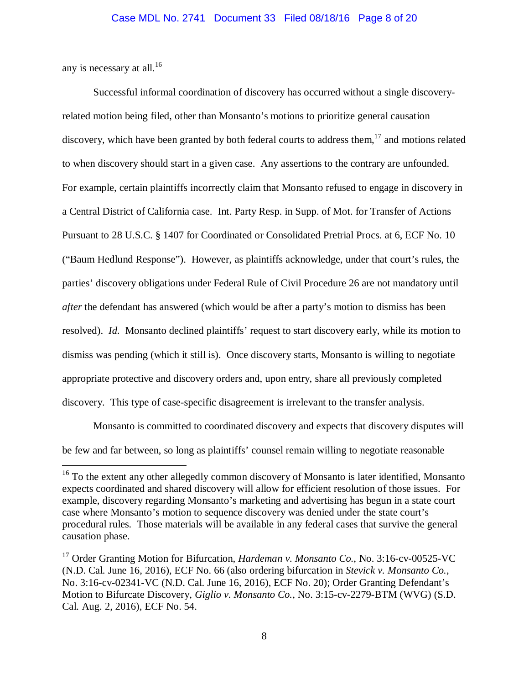any is necessary at all.<sup>16</sup>

 $\overline{a}$ 

Successful informal coordination of discovery has occurred without a single discoveryrelated motion being filed, other than Monsanto's motions to prioritize general causation discovery, which have been granted by both federal courts to address them, $17$  and motions related to when discovery should start in a given case. Any assertions to the contrary are unfounded. For example, certain plaintiffs incorrectly claim that Monsanto refused to engage in discovery in a Central District of California case. Int. Party Resp. in Supp. of Mot. for Transfer of Actions Pursuant to 28 U.S.C. § 1407 for Coordinated or Consolidated Pretrial Procs. at 6, ECF No. 10 ("Baum Hedlund Response"). However, as plaintiffs acknowledge, under that court's rules, the parties' discovery obligations under Federal Rule of Civil Procedure 26 are not mandatory until *after* the defendant has answered (which would be after a party's motion to dismiss has been resolved). *Id.* Monsanto declined plaintiffs' request to start discovery early, while its motion to dismiss was pending (which it still is). Once discovery starts, Monsanto is willing to negotiate appropriate protective and discovery orders and, upon entry, share all previously completed discovery. This type of case-specific disagreement is irrelevant to the transfer analysis.

Monsanto is committed to coordinated discovery and expects that discovery disputes will be few and far between, so long as plaintiffs' counsel remain willing to negotiate reasonable

<sup>&</sup>lt;sup>16</sup> To the extent any other allegedly common discovery of Monsanto is later identified, Monsanto expects coordinated and shared discovery will allow for efficient resolution of those issues. For example, discovery regarding Monsanto's marketing and advertising has begun in a state court case where Monsanto's motion to sequence discovery was denied under the state court's procedural rules. Those materials will be available in any federal cases that survive the general causation phase.

<sup>&</sup>lt;sup>17</sup> Order Granting Motion for Bifurcation, *Hardeman v. Monsanto Co.*, No. 3:16-cv-00525-VC (N.D. Cal. June 16, 2016), ECF No. 66 (also ordering bifurcation in *Stevick v. Monsanto Co.*, No. 3:16-cv-02341-VC (N.D. Cal. June 16, 2016), ECF No. 20); Order Granting Defendant's Motion to Bifurcate Discovery, *Giglio v. Monsanto Co.*, No. 3:15-cv-2279-BTM (WVG) (S.D. Cal. Aug. 2, 2016), ECF No. 54.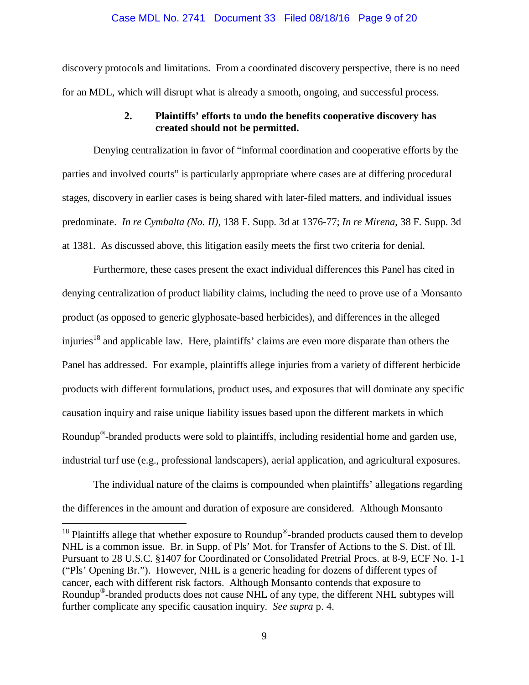#### Case MDL No. 2741 Document 33 Filed 08/18/16 Page 9 of 20

discovery protocols and limitations. From a coordinated discovery perspective, there is no need for an MDL, which will disrupt what is already a smooth, ongoing, and successful process.

## **2. Plaintiffs' efforts to undo the benefits cooperative discovery has created should not be permitted.**

Denying centralization in favor of "informal coordination and cooperative efforts by the parties and involved courts" is particularly appropriate where cases are at differing procedural stages, discovery in earlier cases is being shared with later-filed matters, and individual issues predominate. *In re Cymbalta (No. II)*, 138 F. Supp. 3d at 1376-77; *In re Mirena*, 38 F. Supp. 3d at 1381. As discussed above, this litigation easily meets the first two criteria for denial.

Furthermore, these cases present the exact individual differences this Panel has cited in denying centralization of product liability claims, including the need to prove use of a Monsanto product (as opposed to generic glyphosate-based herbicides), and differences in the alleged injuries<sup>18</sup> and applicable law. Here, plaintiffs' claims are even more disparate than others the Panel has addressed. For example, plaintiffs allege injuries from a variety of different herbicide products with different formulations, product uses, and exposures that will dominate any specific causation inquiry and raise unique liability issues based upon the different markets in which Roundup®-branded products were sold to plaintiffs, including residential home and garden use, industrial turf use (e.g., professional landscapers), aerial application, and agricultural exposures.

The individual nature of the claims is compounded when plaintiffs' allegations regarding the differences in the amount and duration of exposure are considered. Although Monsanto

 $\overline{a}$ 

<sup>18</sup> Plaintiffs allege that whether exposure to Roundup<sup>®</sup>-branded products caused them to develop NHL is a common issue. Br. in Supp. of Pls' Mot. for Transfer of Actions to the S. Dist. of Ill. Pursuant to 28 U.S.C. §1407 for Coordinated or Consolidated Pretrial Procs. at 8-9, ECF No. 1-1 ("Pls' Opening Br."). However, NHL is a generic heading for dozens of different types of cancer, each with different risk factors. Although Monsanto contends that exposure to Roundup®-branded products does not cause NHL of any type, the different NHL subtypes will further complicate any specific causation inquiry. *See supra* p. 4.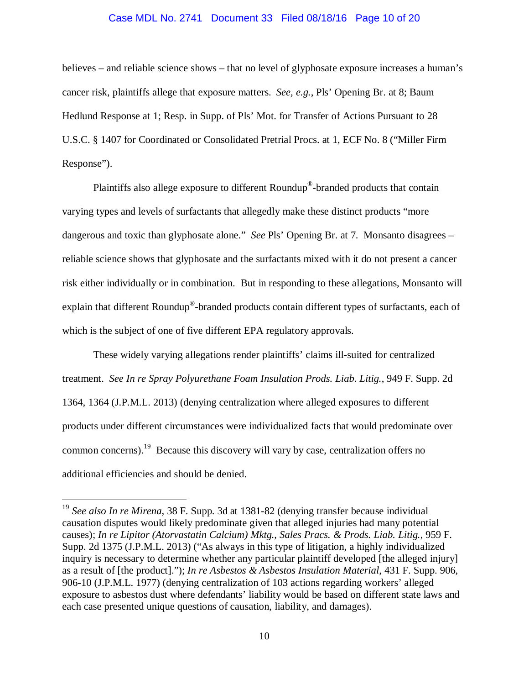## Case MDL No. 2741 Document 33 Filed 08/18/16 Page 10 of 20

believes – and reliable science shows – that no level of glyphosate exposure increases a human's cancer risk, plaintiffs allege that exposure matters. *See, e.g.*, Pls' Opening Br. at 8; Baum Hedlund Response at 1; Resp. in Supp. of Pls' Mot. for Transfer of Actions Pursuant to 28 U.S.C. § 1407 for Coordinated or Consolidated Pretrial Procs. at 1, ECF No. 8 ("Miller Firm Response").

Plaintiffs also allege exposure to different Roundup®-branded products that contain varying types and levels of surfactants that allegedly make these distinct products "more dangerous and toxic than glyphosate alone." *See* Pls' Opening Br. at 7. Monsanto disagrees – reliable science shows that glyphosate and the surfactants mixed with it do not present a cancer risk either individually or in combination. But in responding to these allegations, Monsanto will explain that different Roundup®-branded products contain different types of surfactants, each of which is the subject of one of five different EPA regulatory approvals.

These widely varying allegations render plaintiffs' claims ill-suited for centralized treatment. *See In re Spray Polyurethane Foam Insulation Prods. Liab. Litig.*, 949 F. Supp. 2d 1364, 1364 (J.P.M.L. 2013) (denying centralization where alleged exposures to different products under different circumstances were individualized facts that would predominate over common concerns).19 Because this discovery will vary by case, centralization offers no additional efficiencies and should be denied.

 $\overline{a}$ 

<sup>19</sup> *See also In re Mirena*, 38 F. Supp. 3d at 1381-82 (denying transfer because individual causation disputes would likely predominate given that alleged injuries had many potential causes); *In re Lipitor (Atorvastatin Calcium) Mktg., Sales Pracs. & Prods. Liab. Litig.*, 959 F. Supp. 2d 1375 (J.P.M.L. 2013) ("As always in this type of litigation, a highly individualized inquiry is necessary to determine whether any particular plaintiff developed [the alleged injury] as a result of [the product]."); *In re Asbestos & Asbestos Insulation Material*, 431 F. Supp. 906, 906-10 (J.P.M.L. 1977) (denying centralization of 103 actions regarding workers' alleged exposure to asbestos dust where defendants' liability would be based on different state laws and each case presented unique questions of causation, liability, and damages).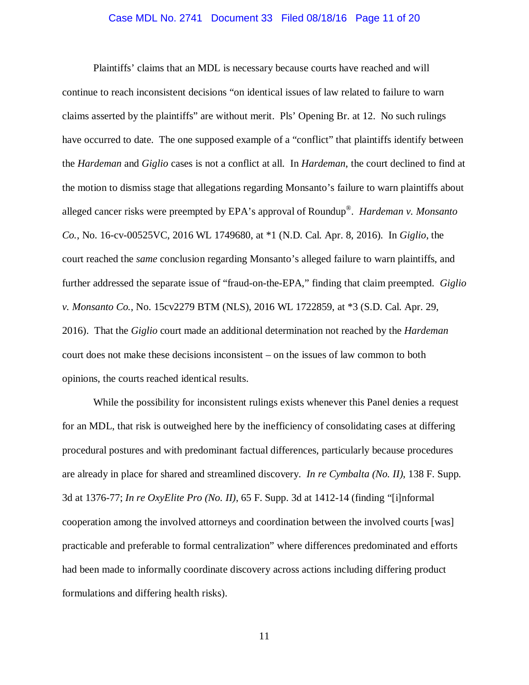## Case MDL No. 2741 Document 33 Filed 08/18/16 Page 11 of 20

Plaintiffs' claims that an MDL is necessary because courts have reached and will continue to reach inconsistent decisions "on identical issues of law related to failure to warn claims asserted by the plaintiffs" are without merit. Pls' Opening Br. at 12. No such rulings have occurred to date. The one supposed example of a "conflict" that plaintiffs identify between the *Hardeman* and *Giglio* cases is not a conflict at all. In *Hardeman*, the court declined to find at the motion to dismiss stage that allegations regarding Monsanto's failure to warn plaintiffs about alleged cancer risks were preempted by EPA's approval of Roundup®. *Hardeman v. Monsanto Co.*, No. 16-cv-00525VC, 2016 WL 1749680, at \*1 (N.D. Cal. Apr. 8, 2016). In *Giglio*, the court reached the *same* conclusion regarding Monsanto's alleged failure to warn plaintiffs, and further addressed the separate issue of "fraud-on-the-EPA," finding that claim preempted. *Giglio v. Monsanto Co.*, No. 15cv2279 BTM (NLS), 2016 WL 1722859, at \*3 (S.D. Cal. Apr. 29, 2016). That the *Giglio* court made an additional determination not reached by the *Hardeman* court does not make these decisions inconsistent – on the issues of law common to both opinions, the courts reached identical results.

While the possibility for inconsistent rulings exists whenever this Panel denies a request for an MDL, that risk is outweighed here by the inefficiency of consolidating cases at differing procedural postures and with predominant factual differences, particularly because procedures are already in place for shared and streamlined discovery. *In re Cymbalta (No. II)*, 138 F. Supp. 3d at 1376-77; *In re OxyElite Pro (No. II)*, 65 F. Supp. 3d at 1412-14 (finding "[i]nformal cooperation among the involved attorneys and coordination between the involved courts [was] practicable and preferable to formal centralization" where differences predominated and efforts had been made to informally coordinate discovery across actions including differing product formulations and differing health risks).

11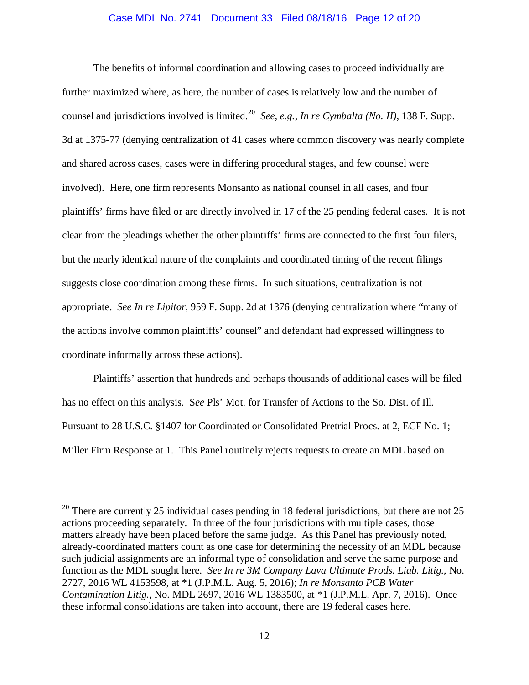#### Case MDL No. 2741 Document 33 Filed 08/18/16 Page 12 of 20

The benefits of informal coordination and allowing cases to proceed individually are further maximized where, as here, the number of cases is relatively low and the number of counsel and jurisdictions involved is limited.20 *See, e.g.*, *In re Cymbalta (No. II)*, 138 F. Supp. 3d at 1375-77 (denying centralization of 41 cases where common discovery was nearly complete and shared across cases, cases were in differing procedural stages, and few counsel were involved). Here, one firm represents Monsanto as national counsel in all cases, and four plaintiffs' firms have filed or are directly involved in 17 of the 25 pending federal cases. It is not clear from the pleadings whether the other plaintiffs' firms are connected to the first four filers, but the nearly identical nature of the complaints and coordinated timing of the recent filings suggests close coordination among these firms. In such situations, centralization is not appropriate. *See In re Lipitor*, 959 F. Supp. 2d at 1376 (denying centralization where "many of the actions involve common plaintiffs' counsel" and defendant had expressed willingness to coordinate informally across these actions).

Plaintiffs' assertion that hundreds and perhaps thousands of additional cases will be filed has no effect on this analysis. S*ee* Pls' Mot. for Transfer of Actions to the So. Dist. of Ill. Pursuant to 28 U.S.C. §1407 for Coordinated or Consolidated Pretrial Procs. at 2, ECF No. 1; Miller Firm Response at 1. This Panel routinely rejects requests to create an MDL based on

<u>.</u>

<sup>&</sup>lt;sup>20</sup> There are currently 25 individual cases pending in 18 federal jurisdictions, but there are not 25 actions proceeding separately. In three of the four jurisdictions with multiple cases, those matters already have been placed before the same judge. As this Panel has previously noted, already-coordinated matters count as one case for determining the necessity of an MDL because such judicial assignments are an informal type of consolidation and serve the same purpose and function as the MDL sought here. *See In re 3M Company Lava Ultimate Prods. Liab. Litig.*, No. 2727, 2016 WL 4153598, at \*1 (J.P.M.L. Aug. 5, 2016); *In re Monsanto PCB Water Contamination Litig.*, No. MDL 2697, 2016 WL 1383500, at \*1 (J.P.M.L. Apr. 7, 2016). Once these informal consolidations are taken into account, there are 19 federal cases here.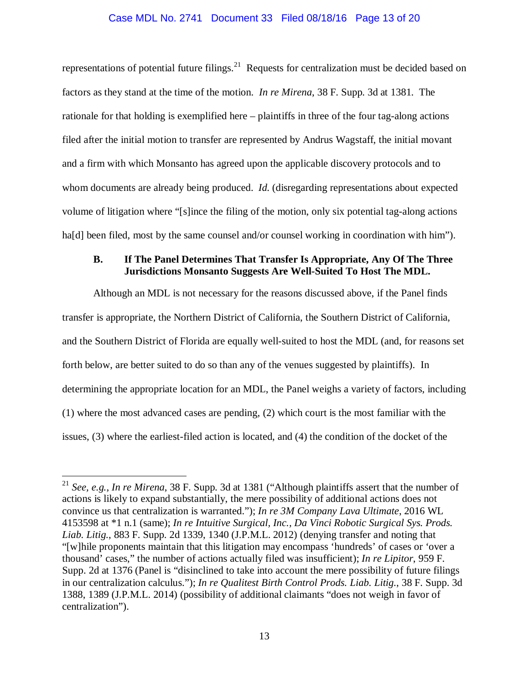# Case MDL No. 2741 Document 33 Filed 08/18/16 Page 13 of 20

representations of potential future filings.<sup>21</sup> Requests for centralization must be decided based on factors as they stand at the time of the motion. *In re Mirena*, 38 F. Supp. 3d at 1381. The rationale for that holding is exemplified here – plaintiffs in three of the four tag-along actions filed after the initial motion to transfer are represented by Andrus Wagstaff, the initial movant and a firm with which Monsanto has agreed upon the applicable discovery protocols and to whom documents are already being produced. *Id.* (disregarding representations about expected volume of litigation where "[s]ince the filing of the motion, only six potential tag-along actions hald been filed, most by the same counsel and/or counsel working in coordination with him").

### **B. If The Panel Determines That Transfer Is Appropriate, Any Of The Three Jurisdictions Monsanto Suggests Are Well-Suited To Host The MDL.**

Although an MDL is not necessary for the reasons discussed above, if the Panel finds transfer is appropriate, the Northern District of California, the Southern District of California, and the Southern District of Florida are equally well-suited to host the MDL (and, for reasons set forth below, are better suited to do so than any of the venues suggested by plaintiffs). In determining the appropriate location for an MDL, the Panel weighs a variety of factors, including (1) where the most advanced cases are pending, (2) which court is the most familiar with the issues, (3) where the earliest-filed action is located, and (4) the condition of the docket of the

 $\overline{a}$ 

<sup>21</sup> *See, e.g.*, *In re Mirena*, 38 F. Supp. 3d at 1381 ("Although plaintiffs assert that the number of actions is likely to expand substantially, the mere possibility of additional actions does not convince us that centralization is warranted."); *In re 3M Company Lava Ultimate*, 2016 WL 4153598 at \*1 n.1 (same); *In re Intuitive Surgical, Inc., Da Vinci Robotic Surgical Sys. Prods. Liab. Litig.*, 883 F. Supp. 2d 1339, 1340 (J.P.M.L. 2012) (denying transfer and noting that "[w]hile proponents maintain that this litigation may encompass 'hundreds' of cases or 'over a thousand' cases," the number of actions actually filed was insufficient); *In re Lipitor*, 959 F. Supp. 2d at 1376 (Panel is "disinclined to take into account the mere possibility of future filings in our centralization calculus."); *In re Qualitest Birth Control Prods. Liab. Litig.*, 38 F. Supp. 3d 1388, 1389 (J.P.M.L. 2014) (possibility of additional claimants "does not weigh in favor of centralization").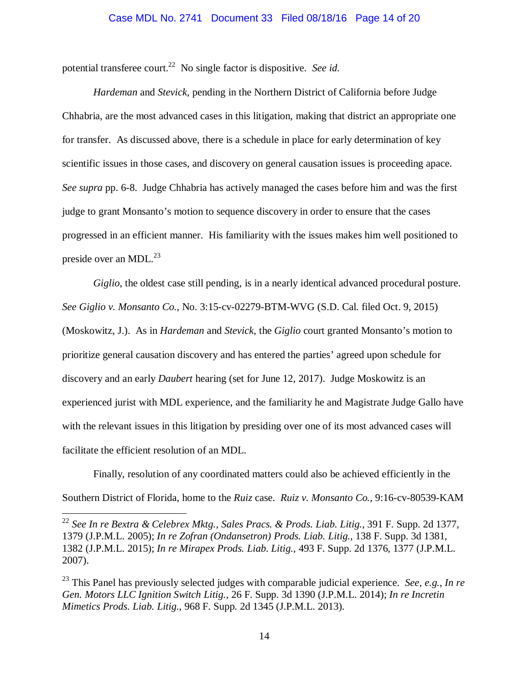#### Case MDL No. 2741 Document 33 Filed 08/18/16 Page 14 of 20

potential transferee court.22 No single factor is dispositive. *See id.*

*Hardeman* and *Stevick*, pending in the Northern District of California before Judge Chhabria, are the most advanced cases in this litigation, making that district an appropriate one for transfer. As discussed above, there is a schedule in place for early determination of key scientific issues in those cases, and discovery on general causation issues is proceeding apace. *See supra* pp. 6-8. Judge Chhabria has actively managed the cases before him and was the first judge to grant Monsanto's motion to sequence discovery in order to ensure that the cases progressed in an efficient manner. His familiarity with the issues makes him well positioned to preside over an MDL. $^{23}$ 

*Giglio*, the oldest case still pending, is in a nearly identical advanced procedural posture. *See Giglio v. Monsanto Co.*, No. 3:15-cv-02279-BTM-WVG (S.D. Cal. filed Oct. 9, 2015) (Moskowitz, J.). As in *Hardeman* and *Stevick*, the *Giglio* court granted Monsanto's motion to prioritize general causation discovery and has entered the parties' agreed upon schedule for discovery and an early *Daubert* hearing (set for June 12, 2017). Judge Moskowitz is an experienced jurist with MDL experience, and the familiarity he and Magistrate Judge Gallo have with the relevant issues in this litigation by presiding over one of its most advanced cases will facilitate the efficient resolution of an MDL.

Finally, resolution of any coordinated matters could also be achieved efficiently in the Southern District of Florida, home to the *Ruiz* case. *Ruiz v. Monsanto Co.*, 9:16-cv-80539-KAM

<sup>22</sup> *See In re Bextra & Celebrex Mktg., Sales Pracs. & Prods. Liab. Litig.*, 391 F. Supp. 2d 1377, 1379 (J.P.M.L. 2005); *In re Zofran (Ondansetron) Prods. Liab. Litig.*, 138 F. Supp. 3d 1381, 1382 (J.P.M.L. 2015); *In re Mirapex Prods. Liab. Litig.*, 493 F. Supp. 2d 1376, 1377 (J.P.M.L. 2007).

1

<sup>23</sup> This Panel has previously selected judges with comparable judicial experience. *See, e.g.*, *In re Gen. Motors LLC Ignition Switch Litig.*, 26 F. Supp. 3d 1390 (J.P.M.L. 2014); *In re Incretin Mimetics Prods. Liab. Litig.*, 968 F. Supp. 2d 1345 (J.P.M.L. 2013).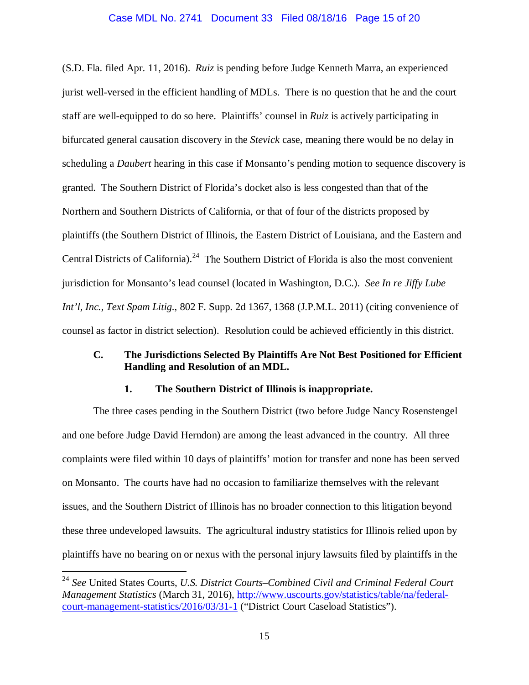#### Case MDL No. 2741 Document 33 Filed 08/18/16 Page 15 of 20

(S.D. Fla. filed Apr. 11, 2016). *Ruiz* is pending before Judge Kenneth Marra, an experienced jurist well-versed in the efficient handling of MDLs. There is no question that he and the court staff are well-equipped to do so here. Plaintiffs' counsel in *Ruiz* is actively participating in bifurcated general causation discovery in the *Stevick* case, meaning there would be no delay in scheduling a *Daubert* hearing in this case if Monsanto's pending motion to sequence discovery is granted. The Southern District of Florida's docket also is less congested than that of the Northern and Southern Districts of California, or that of four of the districts proposed by plaintiffs (the Southern District of Illinois, the Eastern District of Louisiana, and the Eastern and Central Districts of California).<sup>24</sup> The Southern District of Florida is also the most convenient jurisdiction for Monsanto's lead counsel (located in Washington, D.C.). *See In re Jiffy Lube Int'l, Inc., Text Spam Litig.*, 802 F. Supp. 2d 1367, 1368 (J.P.M.L. 2011) (citing convenience of counsel as factor in district selection). Resolution could be achieved efficiently in this district.

## **C. The Jurisdictions Selected By Plaintiffs Are Not Best Positioned for Efficient Handling and Resolution of an MDL.**

### **1. The Southern District of Illinois is inappropriate.**

The three cases pending in the Southern District (two before Judge Nancy Rosenstengel and one before Judge David Herndon) are among the least advanced in the country. All three complaints were filed within 10 days of plaintiffs' motion for transfer and none has been served on Monsanto. The courts have had no occasion to familiarize themselves with the relevant issues, and the Southern District of Illinois has no broader connection to this litigation beyond these three undeveloped lawsuits. The agricultural industry statistics for Illinois relied upon by plaintiffs have no bearing on or nexus with the personal injury lawsuits filed by plaintiffs in the

 $\overline{a}$ 

<sup>24</sup> *See* United States Courts, *U.S. District Courts–Combined Civil and Criminal Federal Court Management Statistics* (March 31, 2016), http://www.uscourts.gov/statistics/table/na/federalcourt-management-statistics/2016/03/31-1 ("District Court Caseload Statistics").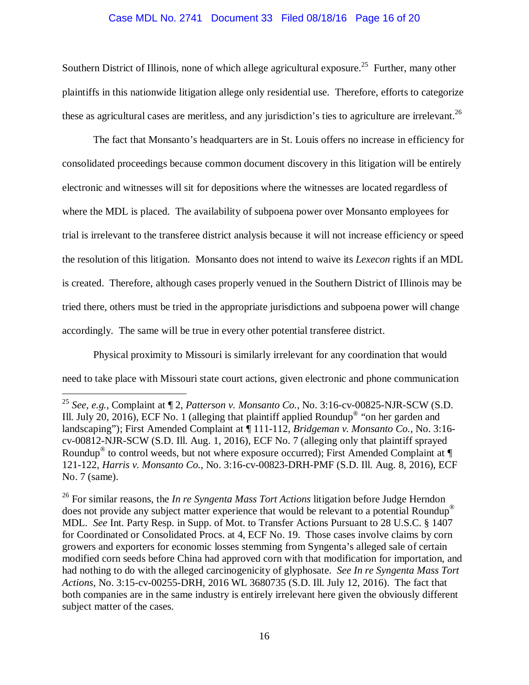## Case MDL No. 2741 Document 33 Filed 08/18/16 Page 16 of 20

Southern District of Illinois, none of which allege agricultural exposure.<sup>25</sup> Further, many other plaintiffs in this nationwide litigation allege only residential use. Therefore, efforts to categorize these as agricultural cases are meritless, and any jurisdiction's ties to agriculture are irrelevant.  $^{26}$ 

The fact that Monsanto's headquarters are in St. Louis offers no increase in efficiency for consolidated proceedings because common document discovery in this litigation will be entirely electronic and witnesses will sit for depositions where the witnesses are located regardless of where the MDL is placed. The availability of subpoena power over Monsanto employees for trial is irrelevant to the transferee district analysis because it will not increase efficiency or speed the resolution of this litigation. Monsanto does not intend to waive its *Lexecon* rights if an MDL is created. Therefore, although cases properly venued in the Southern District of Illinois may be tried there, others must be tried in the appropriate jurisdictions and subpoena power will change accordingly. The same will be true in every other potential transferee district.

Physical proximity to Missouri is similarly irrelevant for any coordination that would need to take place with Missouri state court actions, given electronic and phone communication

1

<sup>25</sup> *See, e.g.*, Complaint at ¶ 2, *Patterson v. Monsanto Co.*, No. 3:16-cv-00825-NJR-SCW (S.D. Ill. July 20, 2016), ECF No. 1 (alleging that plaintiff applied Roundup<sup>®</sup> "on her garden and landscaping"); First Amended Complaint at ¶ 111-112, *Bridgeman v. Monsanto Co.*, No. 3:16 cv-00812-NJR-SCW (S.D. Ill. Aug. 1, 2016), ECF No. 7 (alleging only that plaintiff sprayed Roundup<sup>®</sup> to control weeds, but not where exposure occurred); First Amended Complaint at ¶ 121-122, *Harris v. Monsanto Co.*, No. 3:16-cv-00823-DRH-PMF (S.D. Ill. Aug. 8, 2016), ECF No. 7 (same).

<sup>26</sup> For similar reasons, the *In re Syngenta Mass Tort Actions* litigation before Judge Herndon does not provide any subject matter experience that would be relevant to a potential Roundup<sup>®</sup> MDL. *See* Int. Party Resp. in Supp. of Mot. to Transfer Actions Pursuant to 28 U.S.C. § 1407 for Coordinated or Consolidated Procs. at 4, ECF No. 19. Those cases involve claims by corn growers and exporters for economic losses stemming from Syngenta's alleged sale of certain modified corn seeds before China had approved corn with that modification for importation, and had nothing to do with the alleged carcinogenicity of glyphosate. *See In re Syngenta Mass Tort Actions,* No. 3:15-cv-00255-DRH, 2016 WL 3680735 (S.D. Ill. July 12, 2016). The fact that both companies are in the same industry is entirely irrelevant here given the obviously different subject matter of the cases.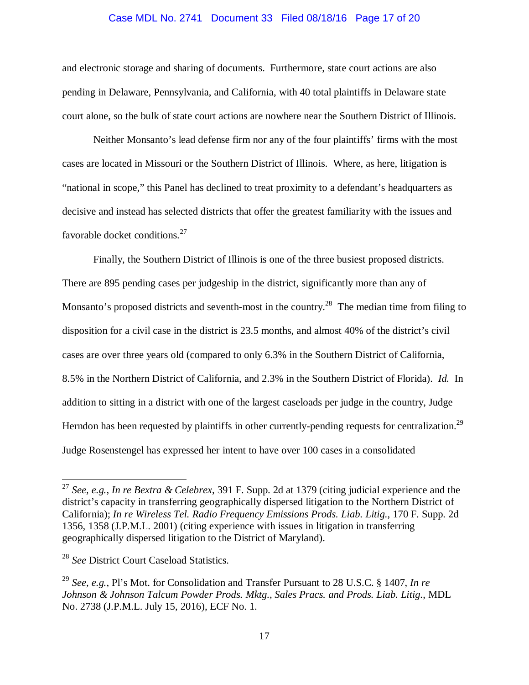#### Case MDL No. 2741 Document 33 Filed 08/18/16 Page 17 of 20

and electronic storage and sharing of documents. Furthermore, state court actions are also pending in Delaware, Pennsylvania, and California, with 40 total plaintiffs in Delaware state court alone, so the bulk of state court actions are nowhere near the Southern District of Illinois.

Neither Monsanto's lead defense firm nor any of the four plaintiffs' firms with the most cases are located in Missouri or the Southern District of Illinois. Where, as here, litigation is "national in scope," this Panel has declined to treat proximity to a defendant's headquarters as decisive and instead has selected districts that offer the greatest familiarity with the issues and favorable docket conditions. $27$ 

Finally, the Southern District of Illinois is one of the three busiest proposed districts. There are 895 pending cases per judgeship in the district, significantly more than any of Monsanto's proposed districts and seventh-most in the country.<sup>28</sup> The median time from filing to disposition for a civil case in the district is 23.5 months, and almost 40% of the district's civil cases are over three years old (compared to only 6.3% in the Southern District of California, 8.5% in the Northern District of California, and 2.3% in the Southern District of Florida). *Id.* In addition to sitting in a district with one of the largest caseloads per judge in the country, Judge Herndon has been requested by plaintiffs in other currently-pending requests for centralization.<sup>29</sup> Judge Rosenstengel has expressed her intent to have over 100 cases in a consolidated

<u>.</u>

<sup>27</sup> *See, e.g.*, *In re Bextra & Celebrex*, 391 F. Supp. 2d at 1379 (citing judicial experience and the district's capacity in transferring geographically dispersed litigation to the Northern District of California); *In re Wireless Tel. Radio Frequency Emissions Prods. Liab. Litig.*, 170 F. Supp. 2d 1356, 1358 (J.P.M.L. 2001) (citing experience with issues in litigation in transferring geographically dispersed litigation to the District of Maryland).

<sup>28</sup> *See* District Court Caseload Statistics.

<sup>29</sup> *See, e.g.*, Pl's Mot. for Consolidation and Transfer Pursuant to 28 U.S.C. § 1407, *In re Johnson & Johnson Talcum Powder Prods. Mktg., Sales Pracs. and Prods. Liab. Litig.*, MDL No. 2738 (J.P.M.L. July 15, 2016), ECF No. 1.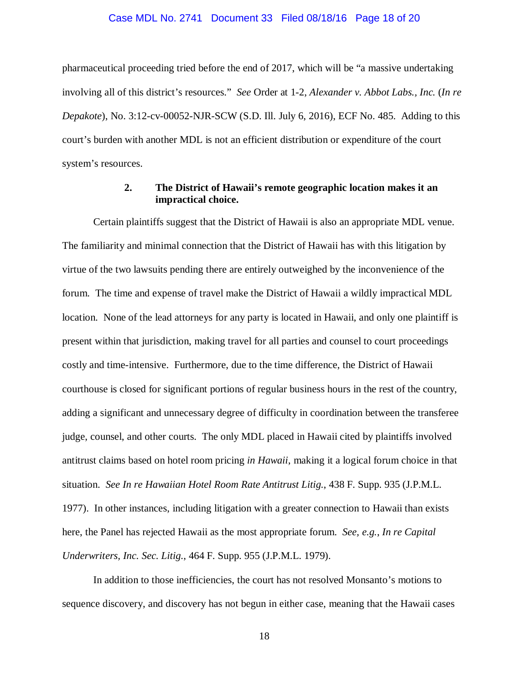#### Case MDL No. 2741 Document 33 Filed 08/18/16 Page 18 of 20

pharmaceutical proceeding tried before the end of 2017, which will be "a massive undertaking involving all of this district's resources." *See* Order at 1-2, *Alexander v. Abbot Labs., Inc.* (*In re Depakote*), No. 3:12-cv-00052-NJR-SCW (S.D. Ill. July 6, 2016), ECF No. 485. Adding to this court's burden with another MDL is not an efficient distribution or expenditure of the court system's resources.

### **2. The District of Hawaii's remote geographic location makes it an impractical choice.**

Certain plaintiffs suggest that the District of Hawaii is also an appropriate MDL venue. The familiarity and minimal connection that the District of Hawaii has with this litigation by virtue of the two lawsuits pending there are entirely outweighed by the inconvenience of the forum. The time and expense of travel make the District of Hawaii a wildly impractical MDL location. None of the lead attorneys for any party is located in Hawaii, and only one plaintiff is present within that jurisdiction, making travel for all parties and counsel to court proceedings costly and time-intensive. Furthermore, due to the time difference, the District of Hawaii courthouse is closed for significant portions of regular business hours in the rest of the country, adding a significant and unnecessary degree of difficulty in coordination between the transferee judge, counsel, and other courts. The only MDL placed in Hawaii cited by plaintiffs involved antitrust claims based on hotel room pricing *in Hawaii*, making it a logical forum choice in that situation. *See In re Hawaiian Hotel Room Rate Antitrust Litig.*, 438 F. Supp. 935 (J.P.M.L. 1977). In other instances, including litigation with a greater connection to Hawaii than exists here, the Panel has rejected Hawaii as the most appropriate forum. *See, e.g.*, *In re Capital Underwriters, Inc. Sec. Litig.*, 464 F. Supp. 955 (J.P.M.L. 1979).

In addition to those inefficiencies, the court has not resolved Monsanto's motions to sequence discovery, and discovery has not begun in either case, meaning that the Hawaii cases

18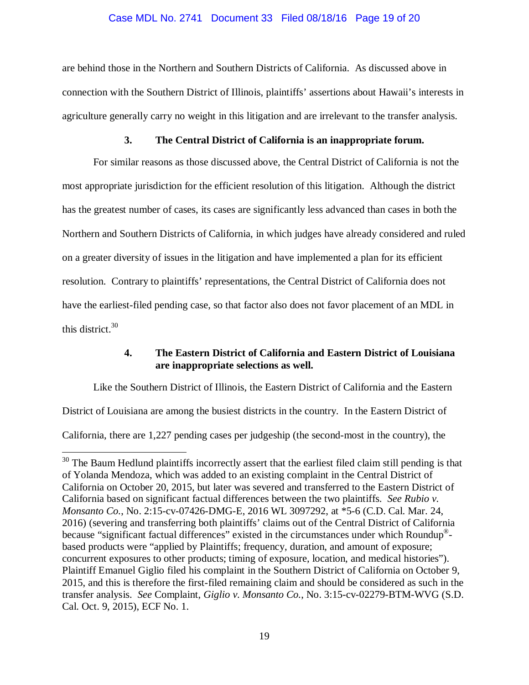### Case MDL No. 2741 Document 33 Filed 08/18/16 Page 19 of 20

are behind those in the Northern and Southern Districts of California. As discussed above in connection with the Southern District of Illinois, plaintiffs' assertions about Hawaii's interests in agriculture generally carry no weight in this litigation and are irrelevant to the transfer analysis.

### **3. The Central District of California is an inappropriate forum.**

For similar reasons as those discussed above, the Central District of California is not the most appropriate jurisdiction for the efficient resolution of this litigation. Although the district has the greatest number of cases, its cases are significantly less advanced than cases in both the Northern and Southern Districts of California, in which judges have already considered and ruled on a greater diversity of issues in the litigation and have implemented a plan for its efficient resolution. Contrary to plaintiffs' representations, the Central District of California does not have the earliest-filed pending case, so that factor also does not favor placement of an MDL in this district.30

### **4. The Eastern District of California and Eastern District of Louisiana are inappropriate selections as well.**

Like the Southern District of Illinois, the Eastern District of California and the Eastern

District of Louisiana are among the busiest districts in the country. In the Eastern District of

California, there are 1,227 pending cases per judgeship (the second-most in the country), the

 $\overline{a}$ 

<sup>&</sup>lt;sup>30</sup> The Baum Hedlund plaintiffs incorrectly assert that the earliest filed claim still pending is that of Yolanda Mendoza, which was added to an existing complaint in the Central District of California on October 20, 2015, but later was severed and transferred to the Eastern District of California based on significant factual differences between the two plaintiffs. *See Rubio v. Monsanto Co.*, No. 2:15-cv-07426-DMG-E, 2016 WL 3097292, at \*5-6 (C.D. Cal. Mar. 24, 2016) (severing and transferring both plaintiffs' claims out of the Central District of California because "significant factual differences" existed in the circumstances under which Roundup® based products were "applied by Plaintiffs; frequency, duration, and amount of exposure; concurrent exposures to other products; timing of exposure, location, and medical histories"). Plaintiff Emanuel Giglio filed his complaint in the Southern District of California on October 9, 2015, and this is therefore the first-filed remaining claim and should be considered as such in the transfer analysis. *See* Complaint, *Giglio v. Monsanto Co.*, No. 3:15-cv-02279-BTM-WVG (S.D. Cal. Oct. 9, 2015), ECF No. 1.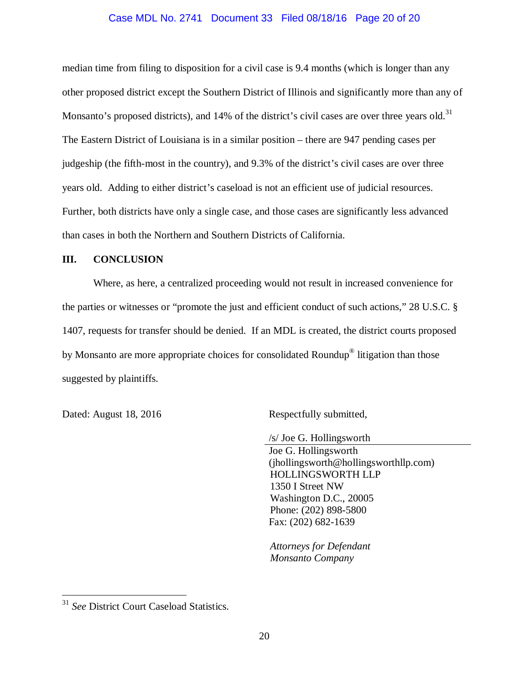#### Case MDL No. 2741 Document 33 Filed 08/18/16 Page 20 of 20

median time from filing to disposition for a civil case is 9.4 months (which is longer than any other proposed district except the Southern District of Illinois and significantly more than any of Monsanto's proposed districts), and 14% of the district's civil cases are over three years old.<sup>31</sup> The Eastern District of Louisiana is in a similar position – there are 947 pending cases per judgeship (the fifth-most in the country), and 9.3% of the district's civil cases are over three years old. Adding to either district's caseload is not an efficient use of judicial resources. Further, both districts have only a single case, and those cases are significantly less advanced than cases in both the Northern and Southern Districts of California.

#### **III. CONCLUSION**

Where, as here, a centralized proceeding would not result in increased convenience for the parties or witnesses or "promote the just and efficient conduct of such actions," 28 U.S.C. § 1407, requests for transfer should be denied. If an MDL is created, the district courts proposed by Monsanto are more appropriate choices for consolidated Roundup® litigation than those suggested by plaintiffs.

 $\overline{a}$ 

Dated: August 18, 2016 Respectfully submitted,

/s/ Joe G. Hollingsworth

 Joe G. Hollingsworth (jhollingsworth@hollingsworthllp.com) HOLLINGSWORTH LLP 1350 I Street NW Washington D.C., 20005 Phone: (202) 898-5800 Fax: (202) 682-1639

*Attorneys for Defendant Monsanto Company* 

<sup>31</sup> *See* District Court Caseload Statistics.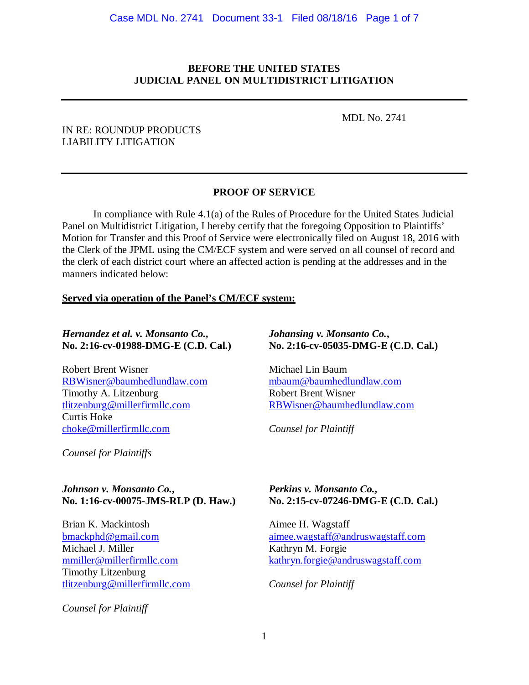### **BEFORE THE UNITED STATES JUDICIAL PANEL ON MULTIDISTRICT LITIGATION**

MDL No. 2741

### IN RE: ROUNDUP PRODUCTS LIABILITY LITIGATION

# **PROOF OF SERVICE**

 In compliance with Rule 4.1(a) of the Rules of Procedure for the United States Judicial Panel on Multidistrict Litigation, I hereby certify that the foregoing Opposition to Plaintiffs' Motion for Transfer and this Proof of Service were electronically filed on August 18, 2016 with the Clerk of the JPML using the CM/ECF system and were served on all counsel of record and the clerk of each district court where an affected action is pending at the addresses and in the manners indicated below:

### **Served via operation of the Panel's CM/ECF system:**

### *Hernandez et al. v. Monsanto Co.***, No. 2:16-cv-01988-DMG-E (C.D. Cal.)**

Robert Brent Wisner RBWisner@baumhedlundlaw.com Timothy A. Litzenburg tlitzenburg@millerfirmllc.com Curtis Hoke choke@millerfirmllc.com

*Counsel for Plaintiffs* 

### *Johnson v. Monsanto Co.***, No. 1:16-cv-00075-JMS-RLP (D. Haw.)**

Brian K. Mackintosh bmackphd@gmail.com Michael J. Miller mmiller@millerfirmllc.com Timothy Litzenburg tlitzenburg@millerfirmllc.com

*Counsel for Plaintiff* 

### *Johansing v. Monsanto Co.***, No. 2:16-cv-05035-DMG-E (C.D. Cal.)**

Michael Lin Baum mbaum@baumhedlundlaw.com Robert Brent Wisner RBWisner@baumhedlundlaw.com

*Counsel for Plaintiff* 

### *Perkins v. Monsanto Co.***, No. 2:15-cv-07246-DMG-E (C.D. Cal.)**

Aimee H. Wagstaff aimee.wagstaff@andruswagstaff.com Kathryn M. Forgie kathryn.forgie@andruswagstaff.com

*Counsel for Plaintiff*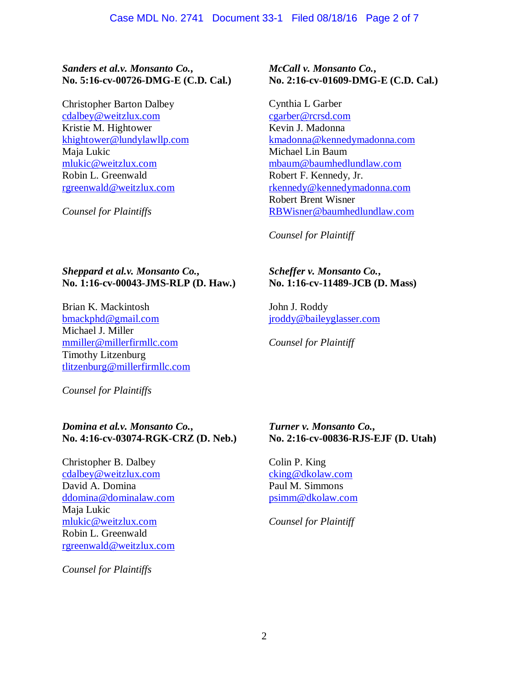# *Sanders et al.v. Monsanto Co.***, No. 5:16-cv-00726-DMG-E (C.D. Cal.)**

Christopher Barton Dalbey cdalbey@weitzlux.com Kristie M. Hightower khightower@lundylawllp.com Maja Lukic mlukic@weitzlux.com Robin L. Greenwald rgreenwald@weitzlux.com

*Counsel for Plaintiffs* 

## *McCall v. Monsanto Co.***, No. 2:16-cv-01609-DMG-E (C.D. Cal.)**

Cynthia L Garber cgarber@rcrsd.com Kevin J. Madonna kmadonna@kennedymadonna.com Michael Lin Baum mbaum@baumhedlundlaw.com Robert F. Kennedy, Jr. rkennedy@kennedymadonna.com Robert Brent Wisner RBWisner@baumhedlundlaw.com

*Counsel for Plaintiff*

# *Sheppard et al.v. Monsanto Co.***, No. 1:16-cv-00043-JMS-RLP (D. Haw.)**

Brian K. Mackintosh bmackphd@gmail.com Michael J. Miller mmiller@millerfirmllc.com Timothy Litzenburg tlitzenburg@millerfirmllc.com

*Counsel for Plaintiffs* 

### *Domina et al.v. Monsanto Co.***, No. 4:16-cv-03074-RGK-CRZ (D. Neb.)**

Christopher B. Dalbey cdalbey@weitzlux.com David A. Domina ddomina@dominalaw.com Maja Lukic mlukic@weitzlux.com Robin L. Greenwald rgreenwald@weitzlux.com

*Counsel for Plaintiffs* 

# *Scheffer v. Monsanto Co.***, No. 1:16-cv-11489-JCB (D. Mass)**

John J. Roddy jroddy@baileyglasser.com

*Counsel for Plaintiff* 

# *Turner v. Monsanto Co.***, No. 2:16-cv-00836-RJS-EJF (D. Utah)**

Colin P. King cking@dkolaw.com Paul M. Simmons psimm@dkolaw.com

*Counsel for Plaintiff*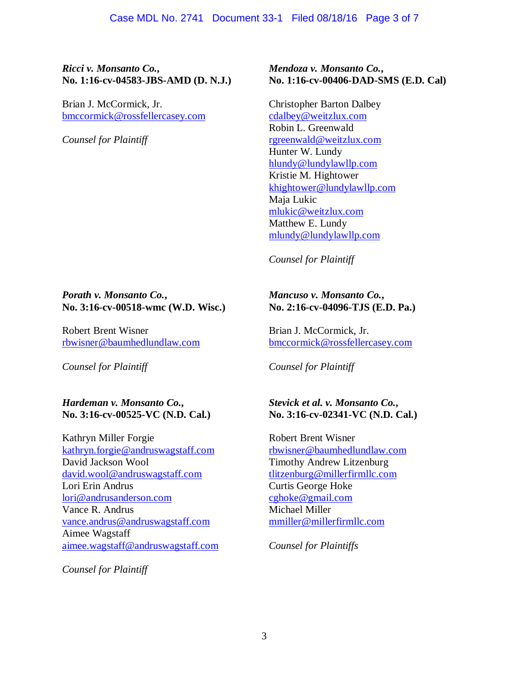### *Ricci v. Monsanto Co.***, No. 1:16-cv-04583-JBS-AMD (D. N.J.)**

Brian J. McCormick, Jr. bmccormick@rossfellercasey.com

*Counsel for Plaintiff* 

### *Porath v. Monsanto Co.***, No. 3:16-cv-00518-wmc (W.D. Wisc.)**

Robert Brent Wisner rbwisner@baumhedlundlaw.com

*Counsel for Plaintiff* 

*Hardeman v. Monsanto Co.***, No. 3:16-cv-00525-VC (N.D. Cal.)** 

Kathryn Miller Forgie kathryn.forgie@andruswagstaff.com David Jackson Wool david.wool@andruswagstaff.com Lori Erin Andrus lori@andrusanderson.com Vance R. Andrus vance.andrus@andruswagstaff.com Aimee Wagstaff aimee.wagstaff@andruswagstaff.com

*Counsel for Plaintiff* 

## *Mendoza v. Monsanto Co.***, No. 1:16-cv-00406-DAD-SMS (E.D. Cal)**

Christopher Barton Dalbey cdalbey@weitzlux.com Robin L. Greenwald rgreenwald@weitzlux.com Hunter W. Lundy hlundy@lundylawllp.com Kristie M. Hightower khightower@lundylawllp.com Maja Lukic mlukic@weitzlux.com Matthew E. Lundy mlundy@lundylawllp.com

*Counsel for Plaintiff* 

# *Mancuso v. Monsanto Co.***, No. 2:16-cv-04096-TJS (E.D. Pa.)**

Brian J. McCormick, Jr. bmccormick@rossfellercasey.com

*Counsel for Plaintiff* 

## *Stevick et al. v. Monsanto Co.***, No. 3:16-cv-02341-VC (N.D. Cal.)**

Robert Brent Wisner rbwisner@baumhedlundlaw.com Timothy Andrew Litzenburg tlitzenburg@millerfirmllc.com Curtis George Hoke cghoke@gmail.com Michael Miller mmiller@millerfirmllc.com

*Counsel for Plaintiffs*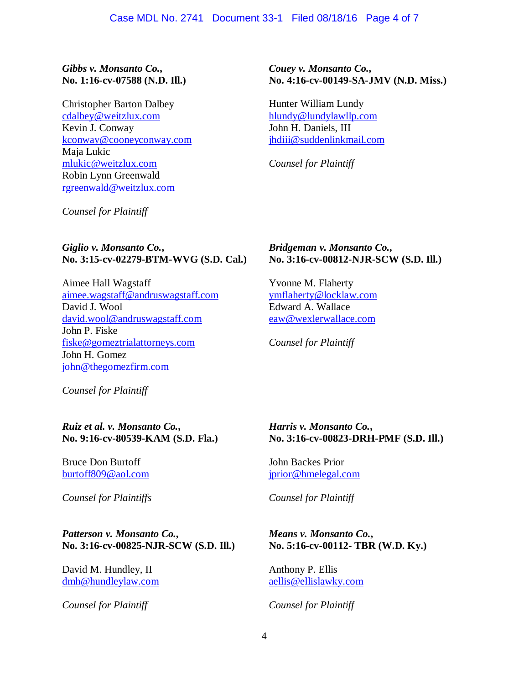### *Gibbs v. Monsanto Co.***, No. 1:16-cv-07588 (N.D. Ill.)**

Christopher Barton Dalbey cdalbey@weitzlux.com Kevin J. Conway kconway@cooneyconway.com Maja Lukic mlukic@weitzlux.com Robin Lynn Greenwald rgreenwald@weitzlux.com

*Couey v. Monsanto Co.***, No. 4:16-cv-00149-SA-JMV (N.D. Miss.)** 

Hunter William Lundy hlundy@lundylawllp.com John H. Daniels, III jhdiii@suddenlinkmail.com

*Counsel for Plaintiff* 

*Counsel for Plaintiff* 

## *Giglio v. Monsanto Co.***, No. 3:15-cv-02279-BTM-WVG (S.D. Cal.)**

Aimee Hall Wagstaff aimee.wagstaff@andruswagstaff.com David J. Wool david.wool@andruswagstaff.com John P. Fiske fiske@gomeztrialattorneys.com John H. Gomez john@thegomezfirm.com

*Bridgeman v. Monsanto Co.***, No. 3:16-cv-00812-NJR-SCW (S.D. Ill.)** 

Yvonne M. Flaherty ymflaherty@locklaw.com Edward A. Wallace eaw@wexlerwallace.com

*Counsel for Plaintiff* 

*Counsel for Plaintiff* 

### *Ruiz et al. v. Monsanto Co.***, No. 9:16-cv-80539-KAM (S.D. Fla.)**

Bruce Don Burtoff burtoff809@aol.com

*Counsel for Plaintiffs*

## *Patterson v. Monsanto Co.***, No. 3:16-cv-00825-NJR-SCW (S.D. Ill.)**

David M. Hundley, II dmh@hundleylaw.com

*Counsel for Plaintiff*

## *Harris v. Monsanto Co.***, No. 3:16-cv-00823-DRH-PMF (S.D. Ill.)**

John Backes Prior jprior@hmelegal.com

*Counsel for Plaintiff* 

# *Means v. Monsanto Co.***, No. 5:16-cv-00112- TBR (W.D. Ky.)**

Anthony P. Ellis aellis@ellislawky.com

*Counsel for Plaintiff*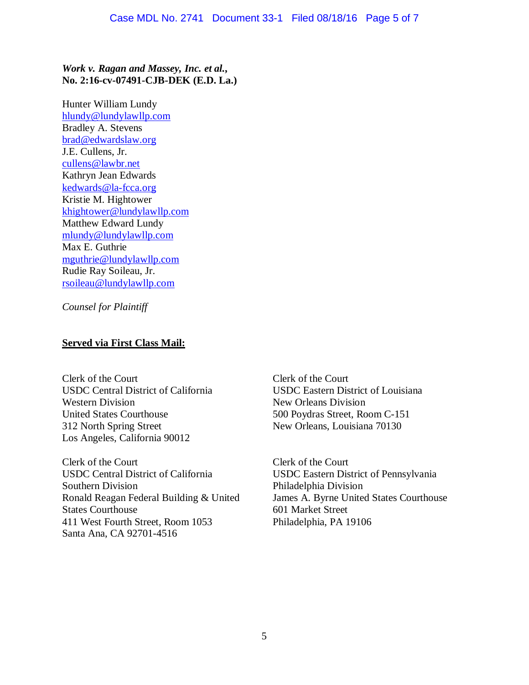# *Work v. Ragan and Massey, Inc. et al.***, No. 2:16-cv-07491-CJB-DEK (E.D. La.)**

Hunter William Lundy hlundy@lundylawllp.com Bradley A. Stevens brad@edwardslaw.org J.E. Cullens, Jr. cullens@lawbr.net Kathryn Jean Edwards kedwards@la-fcca.org Kristie M. Hightower khightower@lundylawllp.com Matthew Edward Lundy mlundy@lundylawllp.com Max E. Guthrie mguthrie@lundylawllp.com Rudie Ray Soileau, Jr. rsoileau@lundylawllp.com

*Counsel for Plaintiff* 

# **Served via First Class Mail:**

Clerk of the Court USDC Central District of California Western Division United States Courthouse 312 North Spring Street Los Angeles, California 90012

Clerk of the Court USDC Central District of California Southern Division Ronald Reagan Federal Building & United States Courthouse 411 West Fourth Street, Room 1053 Santa Ana, CA 92701-4516

Clerk of the Court USDC Eastern District of Louisiana New Orleans Division 500 Poydras Street, Room C-151 New Orleans, Louisiana 70130

Clerk of the Court USDC Eastern District of Pennsylvania Philadelphia Division James A. Byrne United States Courthouse 601 Market Street Philadelphia, PA 19106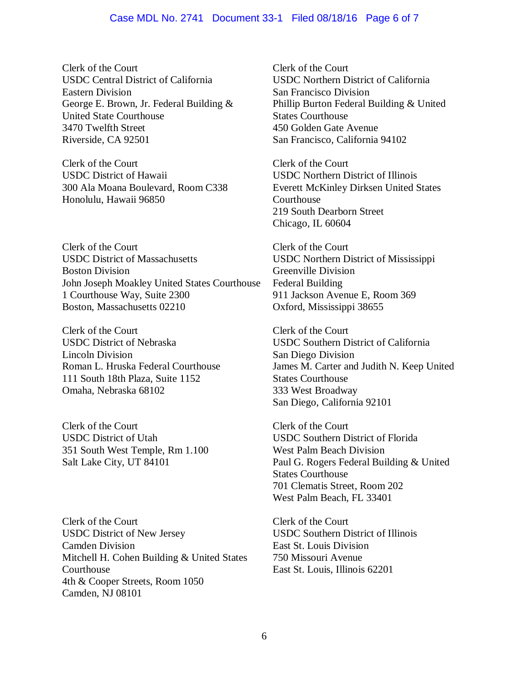#### Case MDL No. 2741 Document 33-1 Filed 08/18/16 Page 6 of 7

Clerk of the Court USDC Central District of California Eastern Division George E. Brown, Jr. Federal Building & United State Courthouse 3470 Twelfth Street Riverside, CA 92501

Clerk of the Court USDC District of Hawaii 300 Ala Moana Boulevard, Room C338 Honolulu, Hawaii 96850

Clerk of the Court USDC District of Massachusetts Boston Division John Joseph Moakley United States Courthouse 1 Courthouse Way, Suite 2300 Boston, Massachusetts 02210

Clerk of the Court USDC District of Nebraska Lincoln Division Roman L. Hruska Federal Courthouse 111 South 18th Plaza, Suite 1152 Omaha, Nebraska 68102

Clerk of the Court USDC District of Utah 351 South West Temple, Rm 1.100 Salt Lake City, UT 84101

Clerk of the Court USDC District of New Jersey Camden Division Mitchell H. Cohen Building & United States Courthouse 4th & Cooper Streets, Room 1050 Camden, NJ 08101

Clerk of the Court USDC Northern District of California San Francisco Division Phillip Burton Federal Building & United States Courthouse 450 Golden Gate Avenue San Francisco, California 94102

Clerk of the Court USDC Northern District of Illinois Everett McKinley Dirksen United States **Courthouse** 219 South Dearborn Street Chicago, IL 60604

Clerk of the Court USDC Northern District of Mississippi Greenville Division Federal Building 911 Jackson Avenue E, Room 369 Oxford, Mississippi 38655

Clerk of the Court USDC Southern District of California San Diego Division James M. Carter and Judith N. Keep United States Courthouse 333 West Broadway San Diego, California 92101

Clerk of the Court USDC Southern District of Florida West Palm Beach Division Paul G. Rogers Federal Building & United States Courthouse 701 Clematis Street, Room 202 West Palm Beach, FL 33401

Clerk of the Court USDC Southern District of Illinois East St. Louis Division 750 Missouri Avenue East St. Louis, Illinois 62201